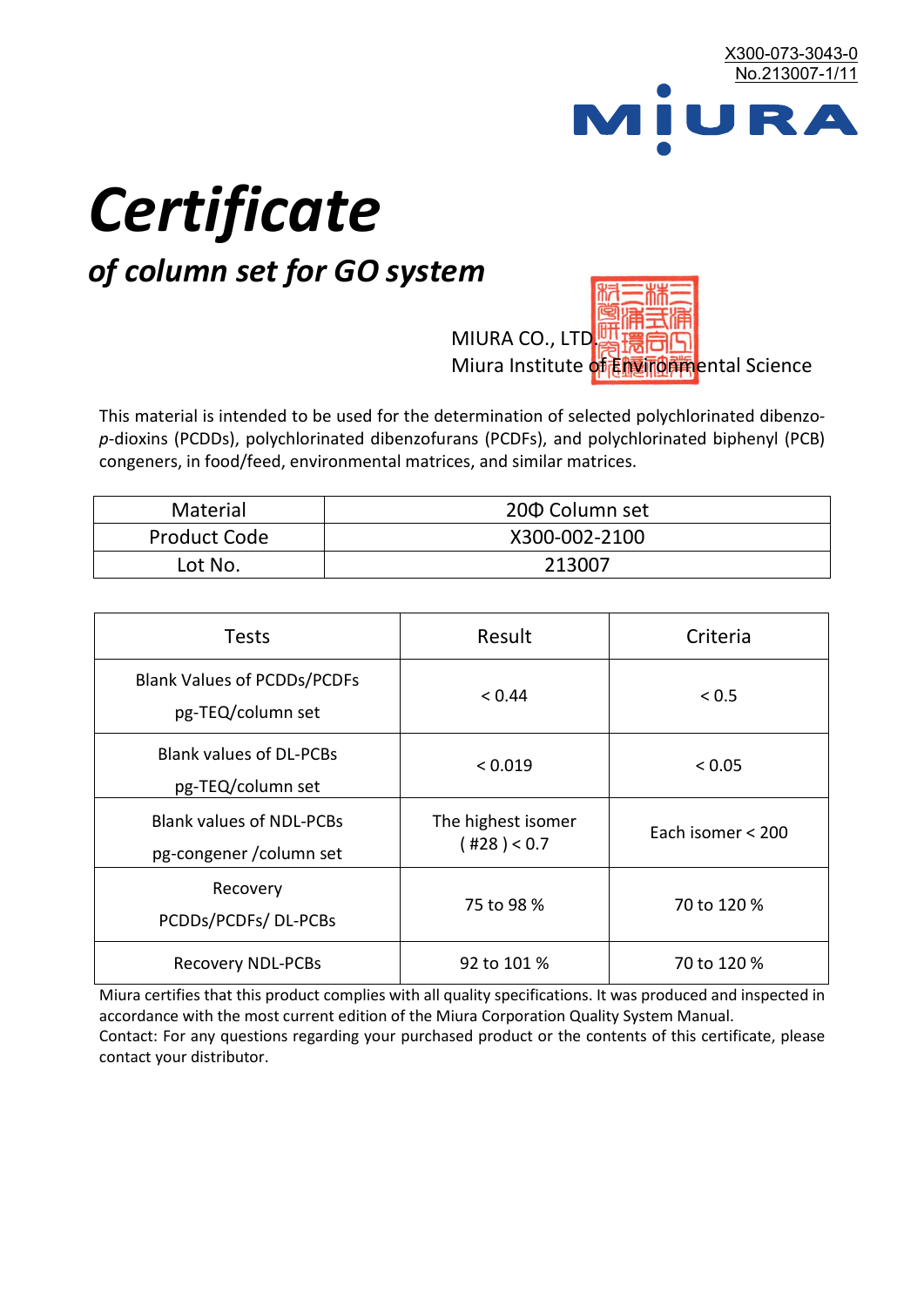

# *Certificate*

## *of column set for GO system*

MIURA CO., LTD. Miura Institute of 正版而解ental Science

This material is intended to be used for the determination of selected polychlorinated dibenzo*p*-dioxins (PCDDs), polychlorinated dibenzofurans (PCDFs), and polychlorinated biphenyl (PCB) congeners, in food/feed, environmental matrices, and similar matrices.

| <b>Material</b>     | 200 Column set |  |
|---------------------|----------------|--|
| <b>Product Code</b> | X300-002-2100  |  |
| Lot No.             | 213007         |  |

| <b>Tests</b>                                                | Result                            | Criteria          |
|-------------------------------------------------------------|-----------------------------------|-------------------|
| <b>Blank Values of PCDDs/PCDFs</b><br>pg-TEQ/column set     | < 0.44                            | < 0.5             |
| <b>Blank values of DL-PCBs</b><br>pg-TEQ/column set         | < 0.019                           | < 0.05            |
| <b>Blank values of NDL-PCBs</b><br>pg-congener / column set | The highest isomer<br>(428) < 0.7 | Each isomer < 200 |
| Recovery<br>PCDDs/PCDFs/DL-PCBs                             | 75 to 98 %                        | 70 to 120 %       |
| <b>Recovery NDL-PCBs</b>                                    | 92 to 101 %                       | 70 to 120 %       |

Miura certifies that this product complies with all quality specifications. It was produced and inspected in accordance with the most current edition of the Miura Corporation Quality System Manual. Contact: For any questions regarding your purchased product or the contents of this certificate, please contact your distributor.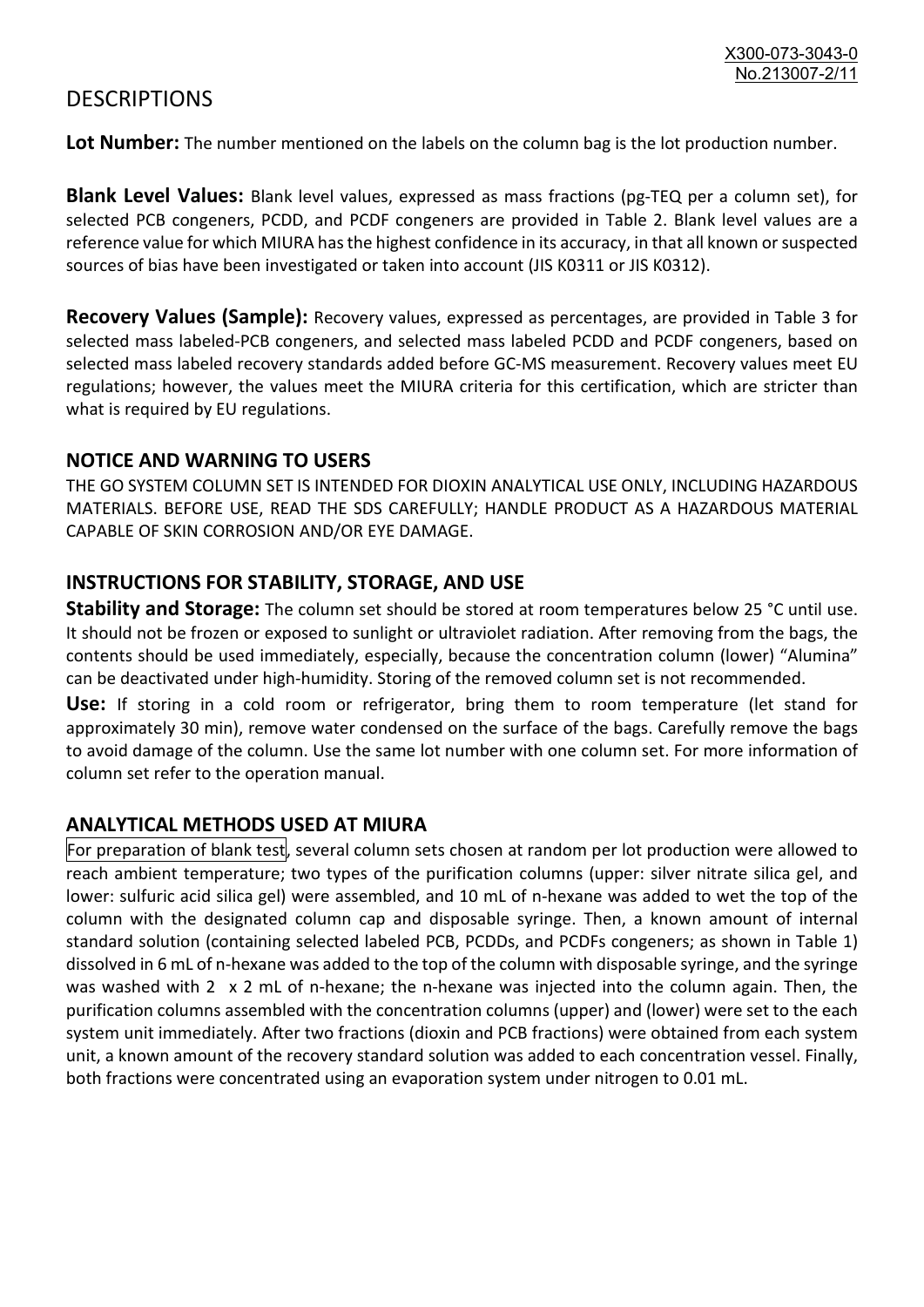### **DESCRIPTIONS**

**Lot Number:** The number mentioned on the labels on the column bag is the lot production number.

**Blank Level Values:** Blank level values, expressed as mass fractions (pg-TEQ per a column set), for selected PCB congeners, PCDD, and PCDF congeners are provided in Table 2. Blank level values are a reference value for which MIURA has the highest confidence in its accuracy, in that all known or suspected sources of bias have been investigated or taken into account (JIS K0311 or JIS K0312).

**Recovery Values (Sample):** Recovery values, expressed as percentages, are provided in Table 3 for selected mass labeled-PCB congeners, and selected mass labeled PCDD and PCDF congeners, based on selected mass labeled recovery standards added before GC-MS measurement. Recovery values meet EU regulations; however, the values meet the MIURA criteria for this certification, which are stricter than what is required by EU regulations.

#### **NOTICE AND WARNING TO USERS**

THE GO SYSTEM COLUMN SET IS INTENDED FOR DIOXIN ANALYTICAL USE ONLY, INCLUDING HAZARDOUS MATERIALS. BEFORE USE, READ THE SDS CAREFULLY; HANDLE PRODUCT AS A HAZARDOUS MATERIAL CAPABLE OF SKIN CORROSION AND/OR EYE DAMAGE.

#### **INSTRUCTIONS FOR STABILITY, STORAGE, AND USE**

**Stability and Storage:** The column set should be stored at room temperatures below 25 °C until use. It should not be frozen or exposed to sunlight or ultraviolet radiation. After removing from the bags, the contents should be used immediately, especially, because the concentration column (lower) "Alumina" can be deactivated under high-humidity. Storing of the removed column set is not recommended.

**Use:** If storing in a cold room or refrigerator, bring them to room temperature (let stand for approximately 30 min), remove water condensed on the surface of the bags. Carefully remove the bags to avoid damage of the column. Use the same lot number with one column set. For more information of column set refer to the operation manual.

#### **ANALYTICAL METHODS USED AT MIURA**

For preparation of blank test, several column sets chosen at random per lot production were allowed to reach ambient temperature; two types of the purification columns (upper: silver nitrate silica gel, and lower: sulfuric acid silica gel) were assembled, and 10 mL of n-hexane was added to wet the top of the column with the designated column cap and disposable syringe. Then, a known amount of internal standard solution (containing selected labeled PCB, PCDDs, and PCDFs congeners; as shown in Table 1) dissolved in 6 mL of n-hexane was added to the top of the column with disposable syringe, and the syringe was washed with 2 x 2 mL of n-hexane; the n-hexane was injected into the column again. Then, the purification columns assembled with the concentration columns (upper) and (lower) were set to the each system unit immediately. After two fractions (dioxin and PCB fractions) were obtained from each system unit, a known amount of the recovery standard solution was added to each concentration vessel. Finally, both fractions were concentrated using an evaporation system under nitrogen to 0.01 mL.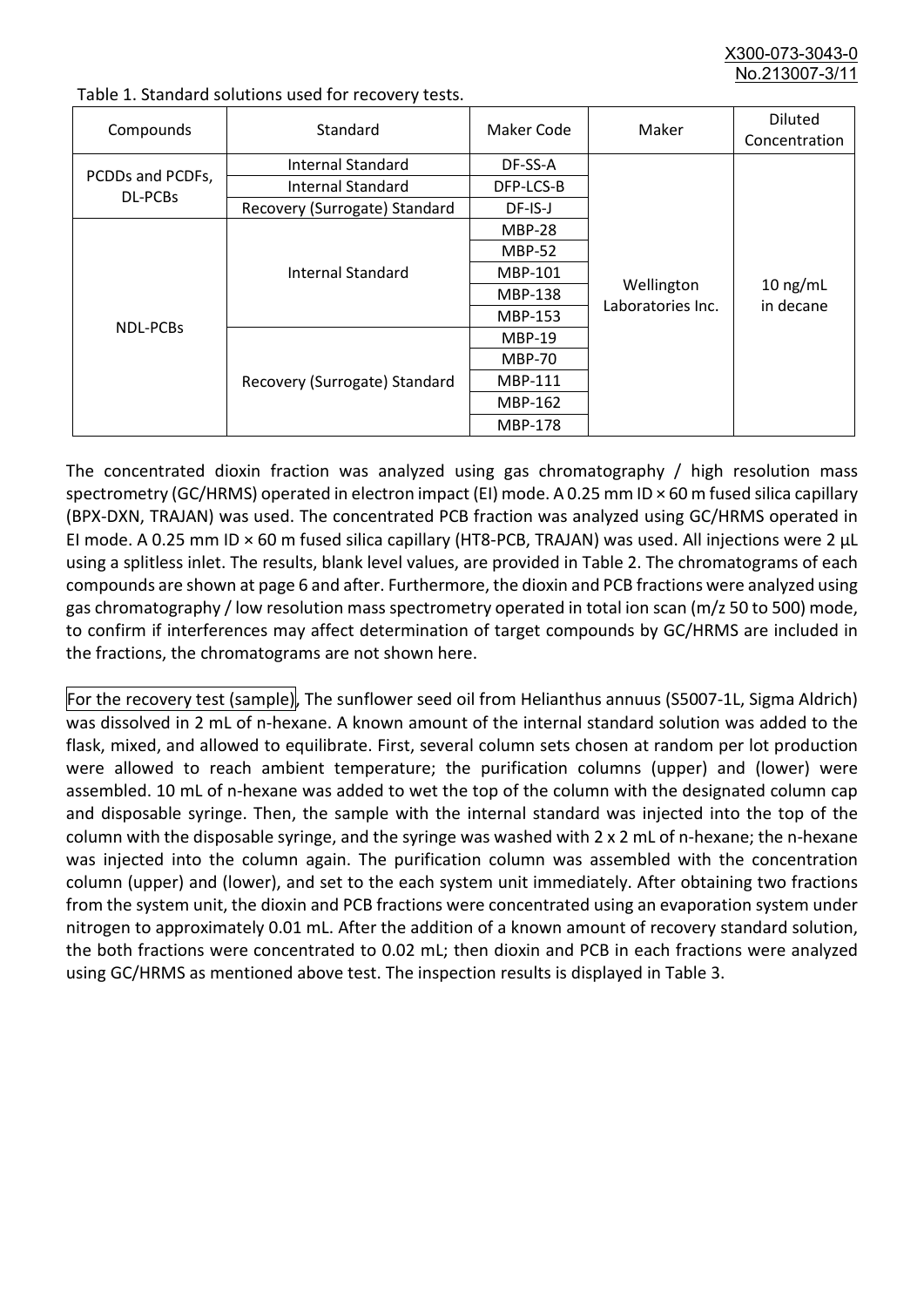X300-073-3043-0 No. 213007-3/

| Compounds                   | Standard                      | Maker Code     | Maker                           | <b>Diluted</b><br>Concentration |
|-----------------------------|-------------------------------|----------------|---------------------------------|---------------------------------|
| PCDDs and PCDFs,<br>DL-PCBs | Internal Standard             | DF-SS-A        |                                 | $10$ ng/mL<br>in decane         |
|                             | <b>Internal Standard</b>      | DFP-LCS-B      |                                 |                                 |
|                             | Recovery (Surrogate) Standard | DF-IS-J        | Wellington<br>Laboratories Inc. |                                 |
| <b>NDL-PCBs</b>             | Internal Standard             | <b>MBP-28</b>  |                                 |                                 |
|                             |                               | <b>MBP-52</b>  |                                 |                                 |
|                             |                               | MBP-101        |                                 |                                 |
|                             |                               | <b>MBP-138</b> |                                 |                                 |
|                             |                               | MBP-153        |                                 |                                 |
|                             | Recovery (Surrogate) Standard | <b>MBP-19</b>  |                                 |                                 |
|                             |                               | <b>MBP-70</b>  |                                 |                                 |
|                             |                               | MBP-111        |                                 |                                 |
|                             |                               | MBP-162        |                                 |                                 |
|                             |                               | <b>MBP-178</b> |                                 |                                 |

Table 1. Standard solutions used for recovery tests.

The concentrated dioxin fraction was analyzed using gas chromatography / high resolution mass spectrometry (GC/HRMS) operated in electron impact (EI) mode. A 0.25 mm ID × 60 m fused silica capillary (BPX-DXN, TRAJAN) was used. The concentrated PCB fraction was analyzed using GC/HRMS operated in EI mode. A 0.25 mm ID × 60 m fused silica capillary (HT8-PCB, TRAJAN) was used. All injections were 2 μL using a splitless inlet. The results, blank level values, are provided in Table 2. The chromatograms of each compounds are shown at page 6 and after. Furthermore, the dioxin and PCB fractions were analyzed using gas chromatography / low resolution mass spectrometry operated in total ion scan (m/z 50 to 500) mode, to confirm if interferences may affect determination of target compounds by GC/HRMS are included in the fractions, the chromatograms are not shown here.

For the recovery test (sample), The sunflower seed oil from Helianthus annuus (S5007-1L, Sigma Aldrich) was dissolved in 2 mL of n-hexane. A known amount of the internal standard solution was added to the flask, mixed, and allowed to equilibrate. First, several column sets chosen at random per lot production were allowed to reach ambient temperature; the purification columns (upper) and (lower) were assembled. 10 mL of n-hexane was added to wet the top of the column with the designated column cap and disposable syringe. Then, the sample with the internal standard was injected into the top of the column with the disposable syringe, and the syringe was washed with 2 x 2 mL of n-hexane; the n-hexane was injected into the column again. The purification column was assembled with the concentration column (upper) and (lower), and set to the each system unit immediately. After obtaining two fractions from the system unit, the dioxin and PCB fractions were concentrated using an evaporation system under nitrogen to approximately 0.01 mL. After the addition of a known amount of recovery standard solution, the both fractions were concentrated to 0.02 mL; then dioxin and PCB in each fractions were analyzed using GC/HRMS as mentioned above test. The inspection results is displayed in Table 3.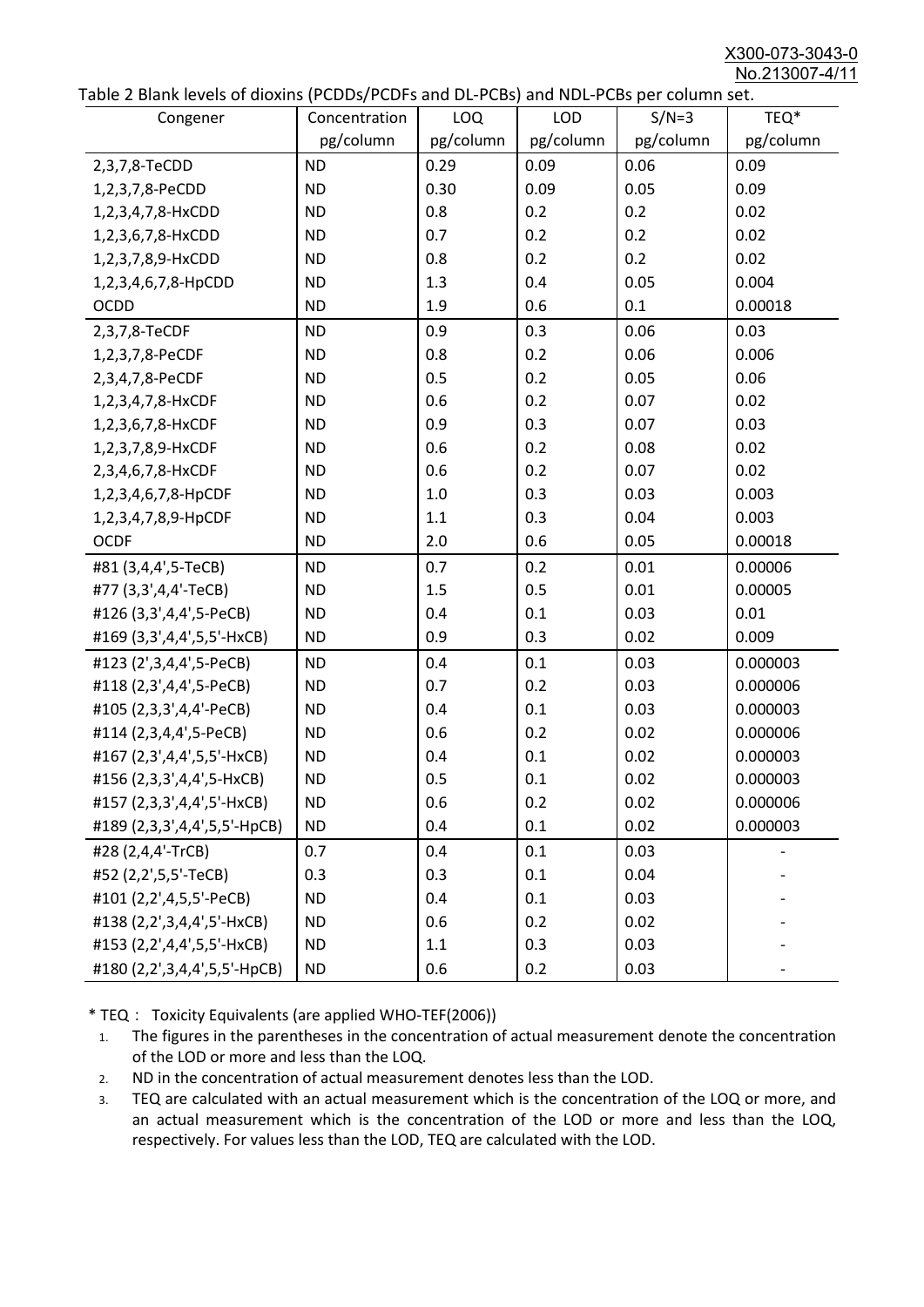X300-073-3043-0 No.213007-4/11

|  | Table 2 Blank levels of dioxins (PCDDs/PCDFs and DL-PCBs) and NDL-PCBs per column set. |
|--|----------------------------------------------------------------------------------------|
|--|----------------------------------------------------------------------------------------|

| abic 2 Diarik icveis of dioxins (I CDD3/TCDTs and DET CD3/ and NDET CD3 pcr column sett.<br>Congener | Concentration | <b>LOQ</b> | <b>LOD</b> | $S/N=3$   | TEQ*      |
|------------------------------------------------------------------------------------------------------|---------------|------------|------------|-----------|-----------|
|                                                                                                      | pg/column     | pg/column  | pg/column  | pg/column | pg/column |
| 2,3,7,8-TeCDD                                                                                        | <b>ND</b>     | 0.29       | 0.09       | 0.06      | 0.09      |
| 1,2,3,7,8-PeCDD                                                                                      | <b>ND</b>     | 0.30       | 0.09       | 0.05      | 0.09      |
| 1,2,3,4,7,8-HxCDD                                                                                    | <b>ND</b>     | 0.8        | 0.2        | 0.2       | 0.02      |
| 1,2,3,6,7,8-HxCDD                                                                                    | <b>ND</b>     | 0.7        | 0.2        | 0.2       | 0.02      |
| 1,2,3,7,8,9-HxCDD                                                                                    | <b>ND</b>     | 0.8        | 0.2        | 0.2       | 0.02      |
| 1,2,3,4,6,7,8-HpCDD                                                                                  | <b>ND</b>     | 1.3        | 0.4        | 0.05      | 0.004     |
| <b>OCDD</b>                                                                                          | <b>ND</b>     | 1.9        | 0.6        | 0.1       | 0.00018   |
| 2,3,7,8-TeCDF                                                                                        | <b>ND</b>     | 0.9        | 0.3        | 0.06      | 0.03      |
| 1,2,3,7,8-PeCDF                                                                                      | <b>ND</b>     | 0.8        | 0.2        | 0.06      | 0.006     |
| 2,3,4,7,8-PeCDF                                                                                      | <b>ND</b>     | 0.5        | 0.2        | 0.05      | 0.06      |
| 1,2,3,4,7,8-HxCDF                                                                                    | <b>ND</b>     | 0.6        | 0.2        | 0.07      | 0.02      |
| 1,2,3,6,7,8-HxCDF                                                                                    | <b>ND</b>     | 0.9        | 0.3        | 0.07      | 0.03      |
| 1,2,3,7,8,9-HxCDF                                                                                    | <b>ND</b>     | 0.6        | 0.2        | 0.08      | 0.02      |
| 2,3,4,6,7,8-HxCDF                                                                                    | <b>ND</b>     | 0.6        | 0.2        | 0.07      | 0.02      |
| 1,2,3,4,6,7,8-HpCDF                                                                                  | <b>ND</b>     | 1.0        | 0.3        | 0.03      | 0.003     |
| 1,2,3,4,7,8,9-HpCDF                                                                                  | <b>ND</b>     | 1.1        | 0.3        | 0.04      | 0.003     |
| <b>OCDF</b>                                                                                          | <b>ND</b>     | 2.0        | 0.6        | 0.05      | 0.00018   |
| #81 (3,4,4',5-TeCB)                                                                                  | <b>ND</b>     | 0.7        | 0.2        | 0.01      | 0.00006   |
| #77 (3,3',4,4'-TeCB)                                                                                 | <b>ND</b>     | 1.5        | 0.5        | 0.01      | 0.00005   |
| #126 (3,3',4,4',5-PeCB)                                                                              | <b>ND</b>     | 0.4        | 0.1        | 0.03      | 0.01      |
| #169 (3,3',4,4',5,5'-HxCB)                                                                           | <b>ND</b>     | 0.9        | 0.3        | 0.02      | 0.009     |
| #123 (2',3,4,4',5-PeCB)                                                                              | <b>ND</b>     | 0.4        | 0.1        | 0.03      | 0.000003  |
| #118 (2,3',4,4',5-PeCB)                                                                              | <b>ND</b>     | 0.7        | 0.2        | 0.03      | 0.000006  |
| #105 (2,3,3',4,4'-PeCB)                                                                              | <b>ND</b>     | 0.4        | 0.1        | 0.03      | 0.000003  |
| #114 (2,3,4,4',5-PeCB)                                                                               | <b>ND</b>     | 0.6        | 0.2        | 0.02      | 0.000006  |
| #167 (2,3',4,4',5,5'-HxCB)                                                                           | <b>ND</b>     | 0.4        | 0.1        | 0.02      | 0.000003  |
| #156 (2,3,3',4,4',5-HxCB)                                                                            | <b>ND</b>     | 0.5        | 0.1        | 0.02      | 0.000003  |
| #157 (2,3,3',4,4',5'-HxCB)                                                                           | <b>ND</b>     | 0.6        | 0.2        | 0.02      | 0.000006  |
| #189 (2,3,3',4,4',5,5'-HpCB)                                                                         | <b>ND</b>     | 0.4        | 0.1        | 0.02      | 0.000003  |
| #28 (2,4,4'-TrCB)                                                                                    | 0.7           | 0.4        | 0.1        | 0.03      |           |
| #52 (2,2',5,5'-TeCB)                                                                                 | 0.3           | 0.3        | 0.1        | 0.04      |           |
| #101 (2,2',4,5,5'-PeCB)                                                                              | <b>ND</b>     | 0.4        | 0.1        | 0.03      |           |
| #138 (2,2',3,4,4',5'-HxCB)                                                                           | <b>ND</b>     | 0.6        | 0.2        | 0.02      |           |
| #153 (2,2',4,4',5,5'-HxCB)                                                                           | <b>ND</b>     | 1.1        | 0.3        | 0.03      |           |
| #180 (2,2',3,4,4',5,5'-HpCB)                                                                         | <b>ND</b>     | 0.6        | 0.2        | 0.03      |           |

\* TEQ: Toxicity Equivalents (are applied WHO-TEF(2006))

- 1. The figures in the parentheses in the concentration of actual measurement denote the concentration of the LOD or more and less than the LOQ.
- 2. ND in the concentration of actual measurement denotes less than the LOD.
- 3. TEQ are calculated with an actual measurement which is the concentration of the LOQ or more, and an actual measurement which is the concentration of the LOD or more and less than the LOQ, respectively. For values less than the LOD, TEQ are calculated with the LOD.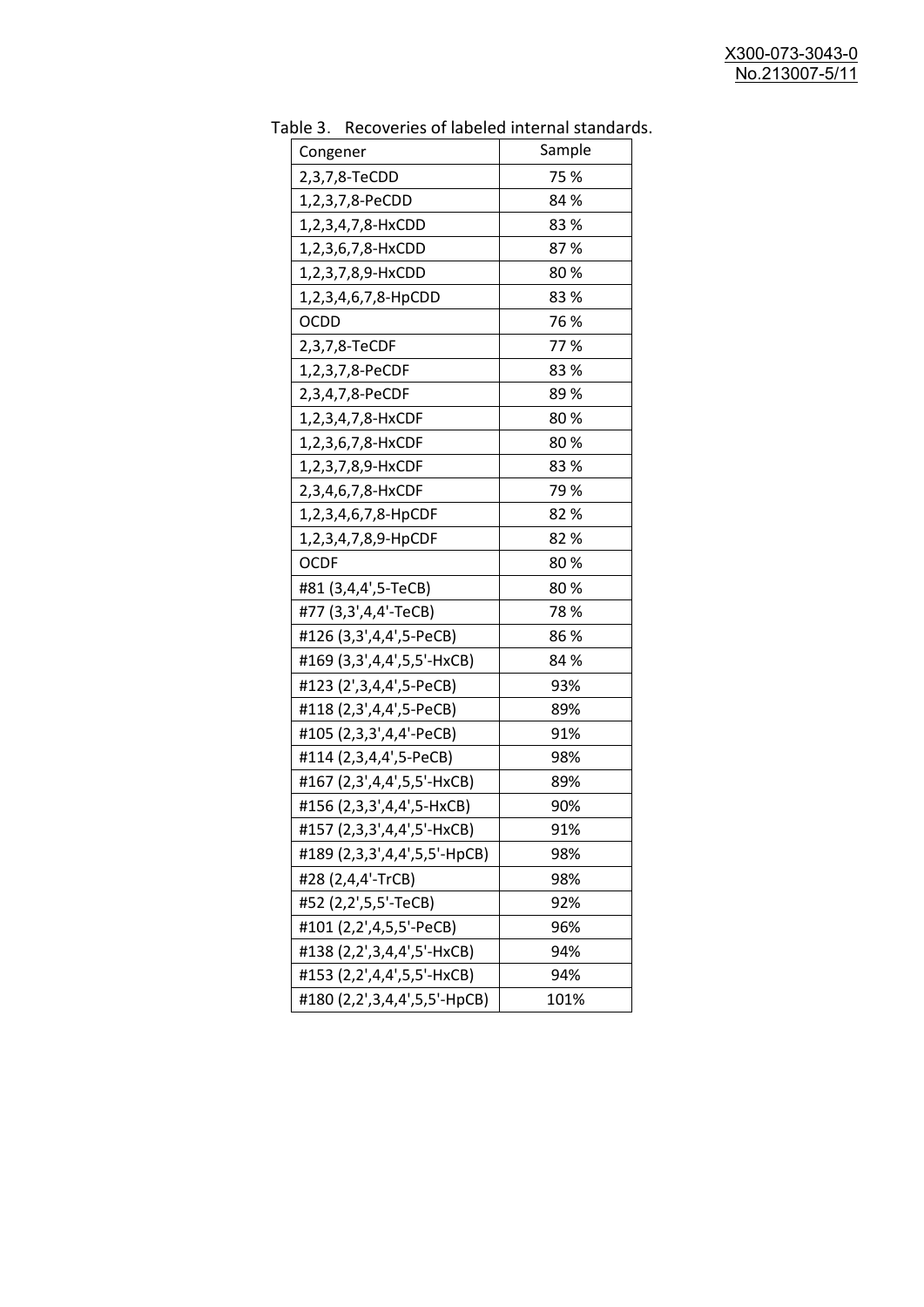| uwic J.<br><b>INCLUSION INTO THE MANUSCRY INTO THE STATISTICS</b><br>Congener | Sample |
|-------------------------------------------------------------------------------|--------|
| 2,3,7,8-TeCDD                                                                 | 75 %   |
| 1,2,3,7,8-PeCDD                                                               | 84 %   |
| 1,2,3,4,7,8-HxCDD                                                             | 83%    |
|                                                                               | 87%    |
| 1,2,3,6,7,8-HxCDD                                                             |        |
| 1,2,3,7,8,9-HxCDD                                                             | 80%    |
| 1,2,3,4,6,7,8-HpCDD                                                           | 83%    |
| OCDD                                                                          | 76 %   |
| 2,3,7,8-TeCDF                                                                 | 77%    |
| 1,2,3,7,8-PeCDF                                                               | 83%    |
| 2,3,4,7,8-PeCDF                                                               | 89%    |
| 1,2,3,4,7,8-HxCDF                                                             | 80%    |
| 1,2,3,6,7,8-HxCDF                                                             | 80%    |
| 1,2,3,7,8,9-HxCDF                                                             | 83%    |
| 2,3,4,6,7,8-HxCDF                                                             | 79%    |
| 1,2,3,4,6,7,8-HpCDF                                                           | 82 %   |
| 1,2,3,4,7,8,9-HpCDF                                                           | 82 %   |
| <b>OCDF</b>                                                                   | 80%    |
| #81 (3,4,4',5-TeCB)                                                           | 80%    |
| #77 (3,3',4,4'-TeCB)                                                          | 78%    |
| #126 (3,3',4,4',5-PeCB)                                                       | 86%    |
| #169 (3,3',4,4',5,5'-HxCB)                                                    | 84 %   |
| #123 (2',3,4,4',5-PeCB)                                                       | 93%    |
| #118 (2,3',4,4',5-PeCB)                                                       | 89%    |
| #105 (2,3,3',4,4'-PeCB)                                                       | 91%    |
| #114 (2,3,4,4',5-PeCB)                                                        | 98%    |
| #167 (2,3',4,4',5,5'-HxCB)                                                    | 89%    |
| #156 (2,3,3',4,4',5-HxCB)                                                     | 90%    |
| #157 (2,3,3',4,4',5'-HxCB)                                                    | 91%    |
| #189 (2,3,3',4,4',5,5'-HpCB)                                                  | 98%    |
| #28 (2,4,4'-TrCB)                                                             | 98%    |
| #52 (2,2',5,5'-TeCB)                                                          | 92%    |
| #101 (2,2',4,5,5'-PeCB)                                                       | 96%    |
| #138 (2,2',3,4,4',5'-HxCB)                                                    | 94%    |
| #153 (2,2',4,4',5,5'-HxCB)                                                    | 94%    |
| #180 (2,2',3,4,4',5,5'-HpCB)                                                  | 101%   |
|                                                                               |        |

Table 3. Recoveries of labeled internal standards.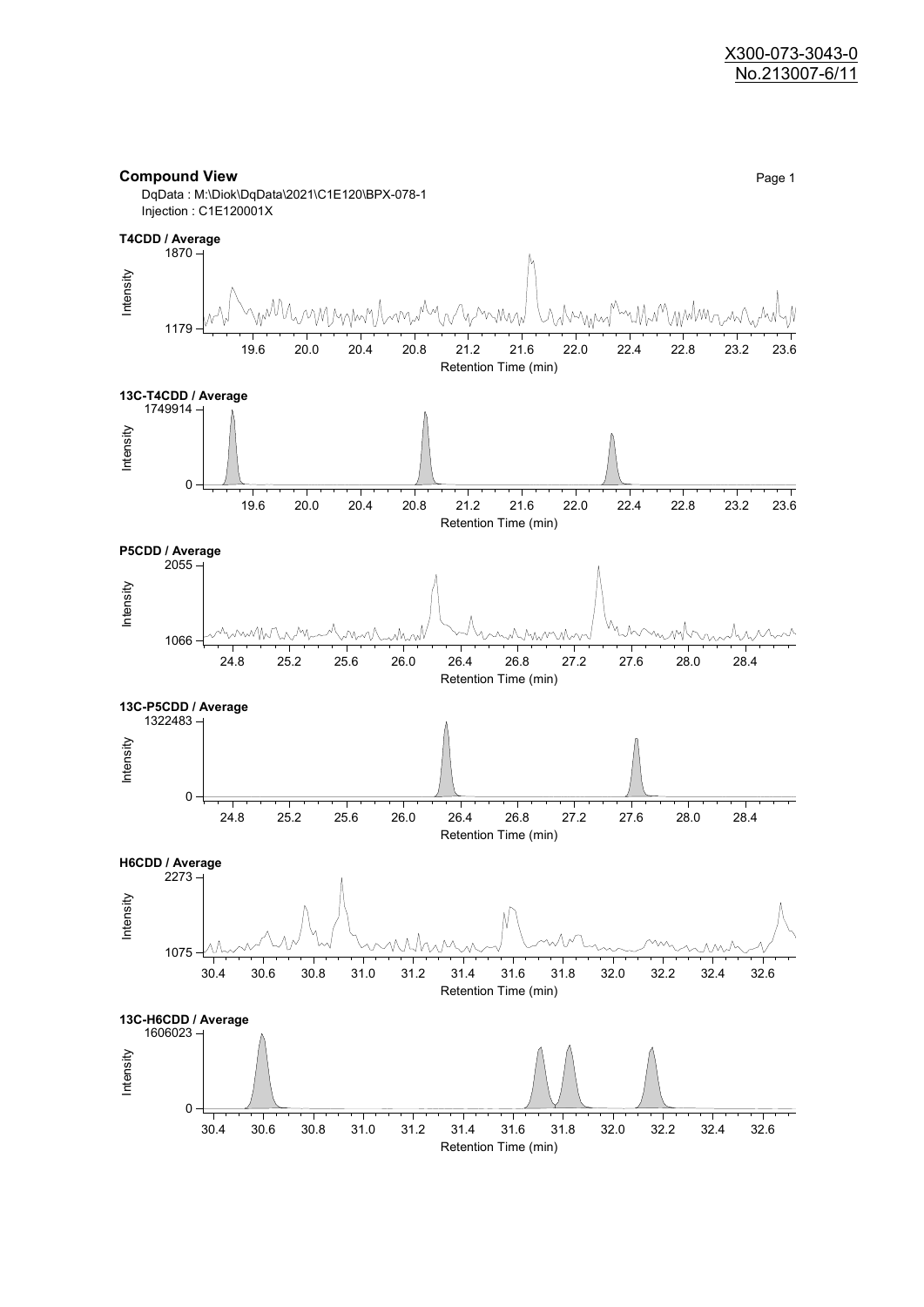#### **Compound View** Page 1

DqData : M:\Diok\DqData\2021\C1E120\BPX-078-1 Injection : C1E120001X

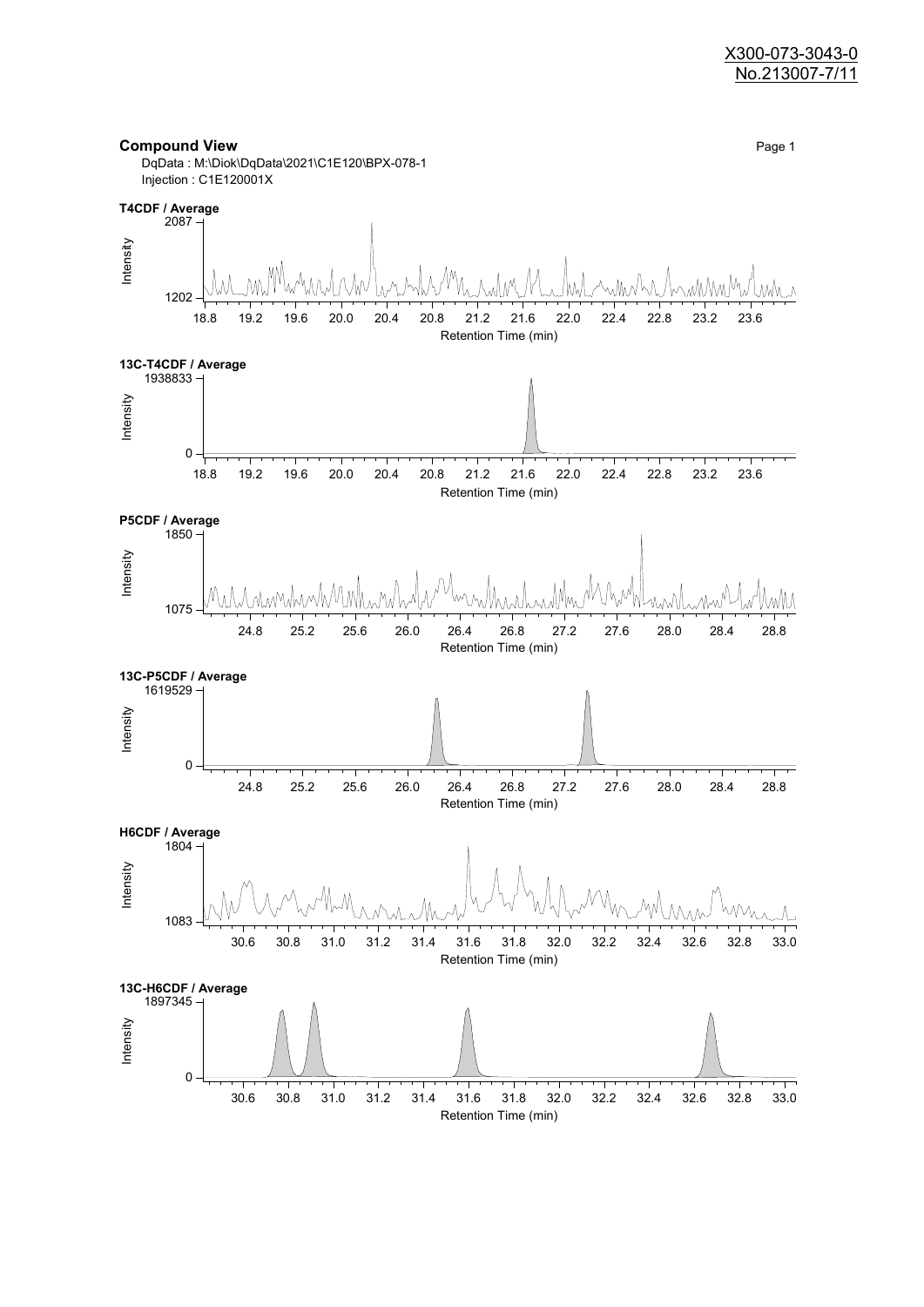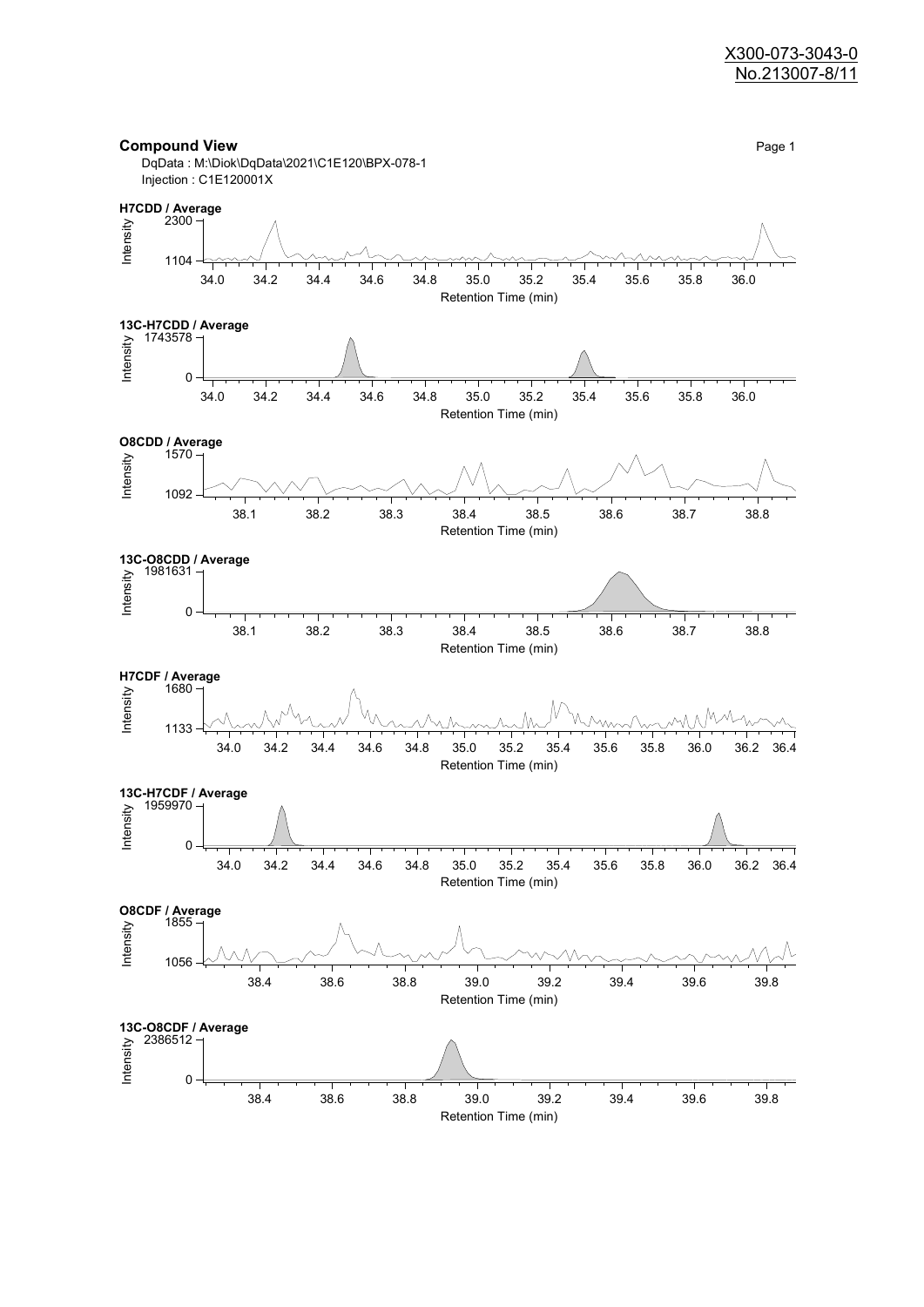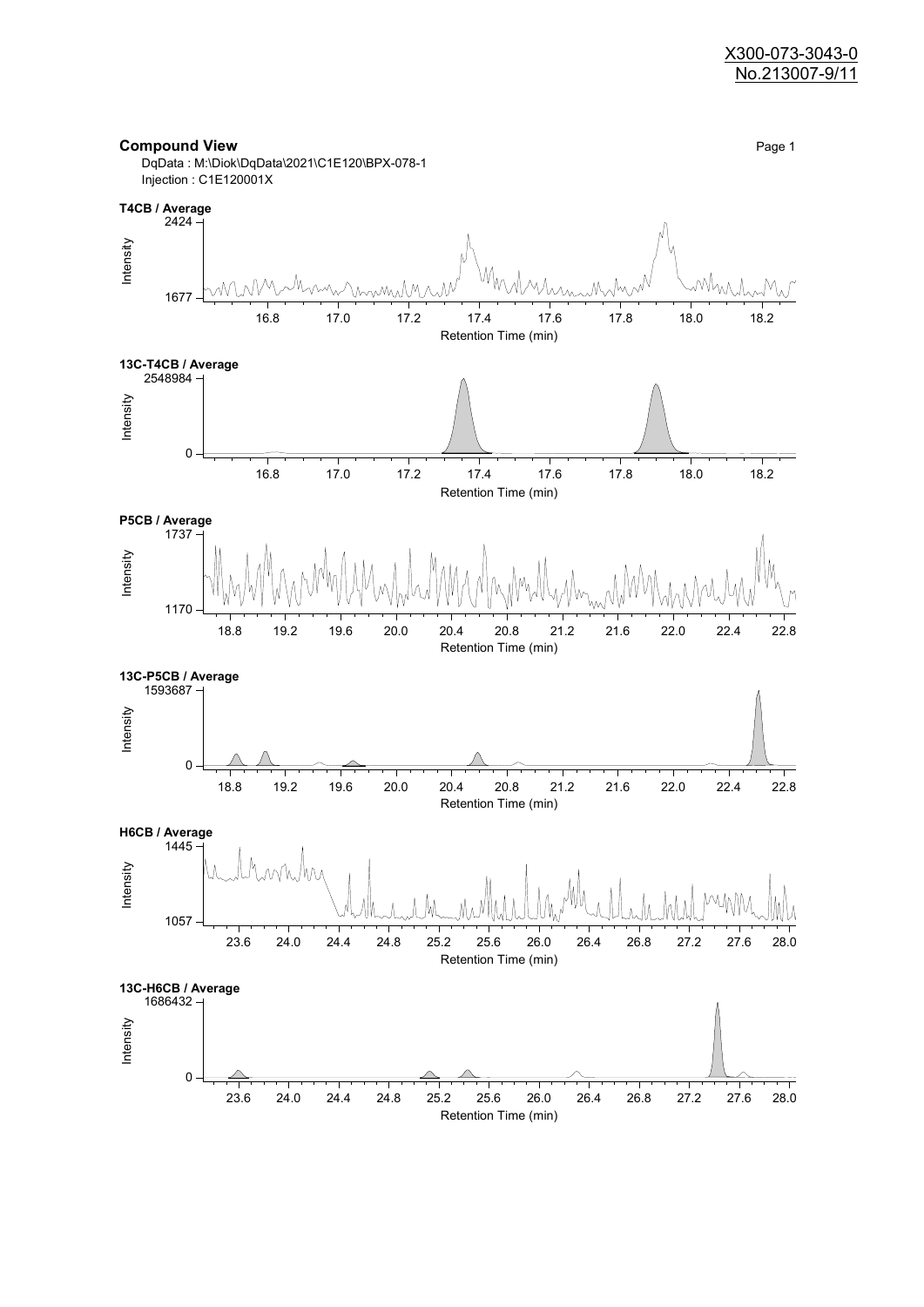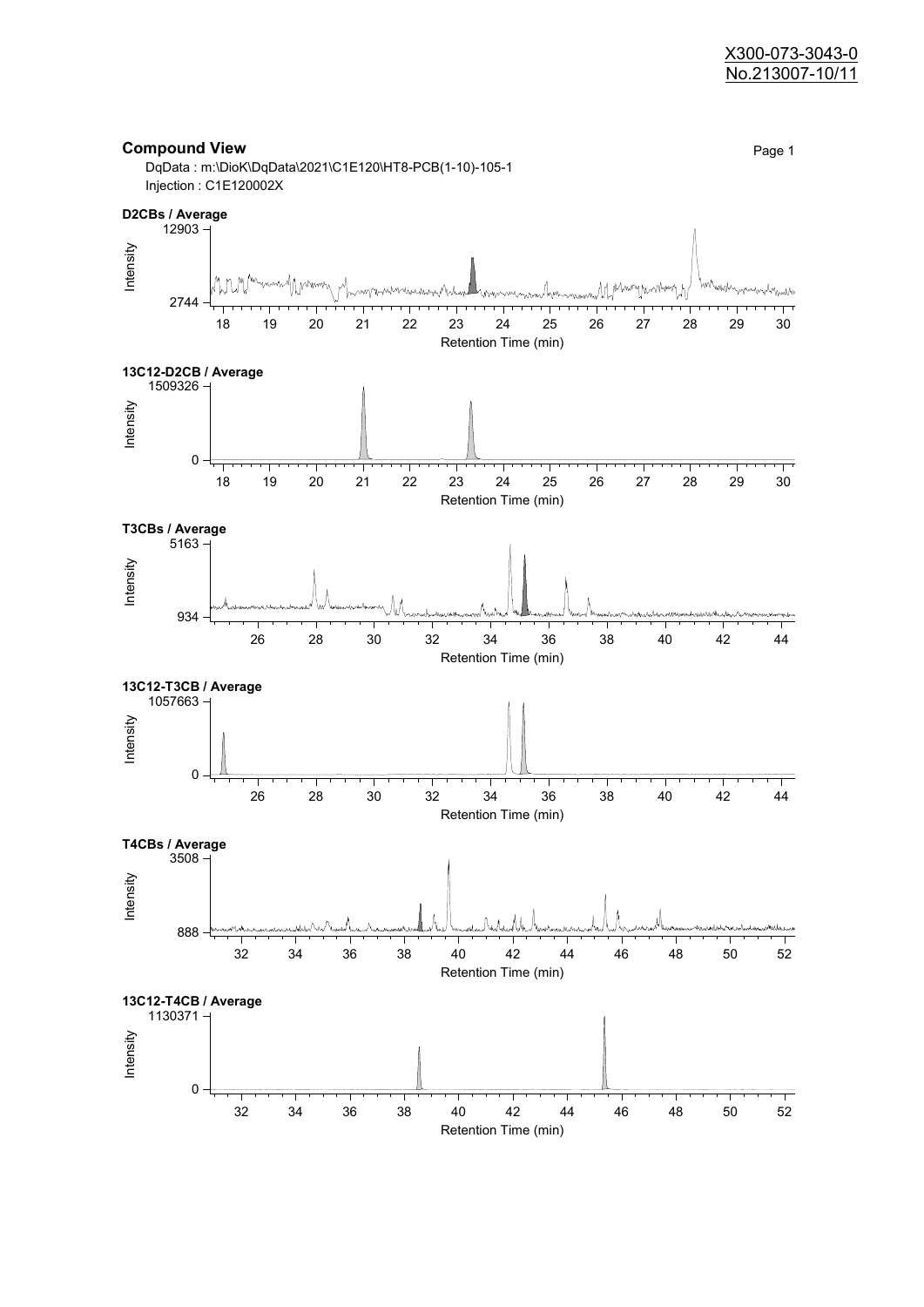